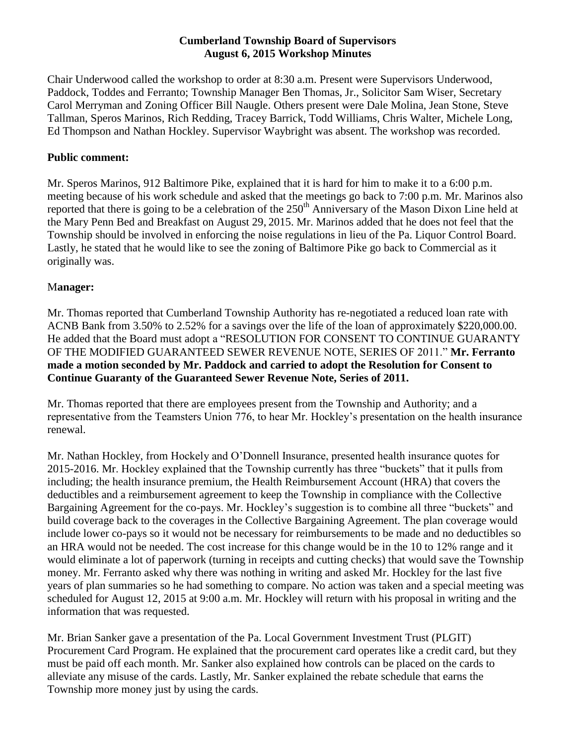## **Cumberland Township Board of Supervisors August 6, 2015 Workshop Minutes**

Chair Underwood called the workshop to order at 8:30 a.m. Present were Supervisors Underwood, Paddock, Toddes and Ferranto; Township Manager Ben Thomas, Jr., Solicitor Sam Wiser, Secretary Carol Merryman and Zoning Officer Bill Naugle. Others present were Dale Molina, Jean Stone, Steve Tallman, Speros Marinos, Rich Redding, Tracey Barrick, Todd Williams, Chris Walter, Michele Long, Ed Thompson and Nathan Hockley. Supervisor Waybright was absent. The workshop was recorded.

## **Public comment:**

Mr. Speros Marinos, 912 Baltimore Pike, explained that it is hard for him to make it to a 6:00 p.m. meeting because of his work schedule and asked that the meetings go back to 7:00 p.m. Mr. Marinos also reported that there is going to be a celebration of the 250<sup>th</sup> Anniversary of the Mason Dixon Line held at the Mary Penn Bed and Breakfast on August 29, 2015. Mr. Marinos added that he does not feel that the Township should be involved in enforcing the noise regulations in lieu of the Pa. Liquor Control Board. Lastly, he stated that he would like to see the zoning of Baltimore Pike go back to Commercial as it originally was.

## M**anager:**

Mr. Thomas reported that Cumberland Township Authority has re-negotiated a reduced loan rate with ACNB Bank from 3.50% to 2.52% for a savings over the life of the loan of approximately \$220,000.00. He added that the Board must adopt a "RESOLUTION FOR CONSENT TO CONTINUE GUARANTY OF THE MODIFIED GUARANTEED SEWER REVENUE NOTE, SERIES OF 2011." **Mr. Ferranto made a motion seconded by Mr. Paddock and carried to adopt the Resolution for Consent to Continue Guaranty of the Guaranteed Sewer Revenue Note, Series of 2011.**

Mr. Thomas reported that there are employees present from the Township and Authority; and a representative from the Teamsters Union 776, to hear Mr. Hockley's presentation on the health insurance renewal.

Mr. Nathan Hockley, from Hockely and O'Donnell Insurance, presented health insurance quotes for 2015-2016. Mr. Hockley explained that the Township currently has three "buckets" that it pulls from including; the health insurance premium, the Health Reimbursement Account (HRA) that covers the deductibles and a reimbursement agreement to keep the Township in compliance with the Collective Bargaining Agreement for the co-pays. Mr. Hockley's suggestion is to combine all three "buckets" and build coverage back to the coverages in the Collective Bargaining Agreement. The plan coverage would include lower co-pays so it would not be necessary for reimbursements to be made and no deductibles so an HRA would not be needed. The cost increase for this change would be in the 10 to 12% range and it would eliminate a lot of paperwork (turning in receipts and cutting checks) that would save the Township money. Mr. Ferranto asked why there was nothing in writing and asked Mr. Hockley for the last five years of plan summaries so he had something to compare. No action was taken and a special meeting was scheduled for August 12, 2015 at 9:00 a.m. Mr. Hockley will return with his proposal in writing and the information that was requested.

Mr. Brian Sanker gave a presentation of the Pa. Local Government Investment Trust (PLGIT) Procurement Card Program. He explained that the procurement card operates like a credit card, but they must be paid off each month. Mr. Sanker also explained how controls can be placed on the cards to alleviate any misuse of the cards. Lastly, Mr. Sanker explained the rebate schedule that earns the Township more money just by using the cards.